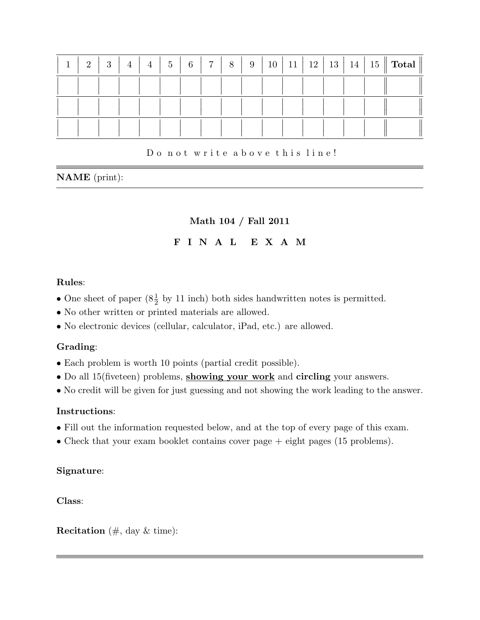| $\mathbf{1}$ | $\Omega$ | 3 | $\overline{4}$ | $\overline{4}$ | $5\phantom{.0}$ | $\,6\,$ | $\overline{7}$ | 8 | 9 |  | $10 \mid 11 \mid 12 \mid$ |  | $\parallel$ 13 $\parallel$ 14 $\parallel$ 15 $\parallel$ Total $\parallel$ |
|--------------|----------|---|----------------|----------------|-----------------|---------|----------------|---|---|--|---------------------------|--|----------------------------------------------------------------------------|
|              |          |   |                |                |                 |         |                |   |   |  |                           |  |                                                                            |
|              |          |   |                |                |                 |         |                |   |   |  |                           |  |                                                                            |
|              |          |   |                |                |                 |         |                |   |   |  |                           |  |                                                                            |

### Do not write above this line!

## NAME (print):

# Math 104 / Fall 2011

## F I N A L E X A M

### Rules:

- One sheet of paper  $(8\frac{1}{2}$  by 11 inch) both sides handwritten notes is permitted.
- No other written or printed materials are allowed.
- No electronic devices (cellular, calculator, iPad, etc.) are allowed.

## Grading:

- Each problem is worth 10 points (partial credit possible).
- Do all 15(fiveteen) problems, showing your work and circling your answers.
- No credit will be given for just guessing and not showing the work leading to the answer.

## Instructions:

- Fill out the information requested below, and at the top of every page of this exam.
- Check that your exam booklet contains cover page  $+$  eight pages (15 problems).

## Signature:

Class:

**Recitation** ( $\#$ , day  $\&$  time):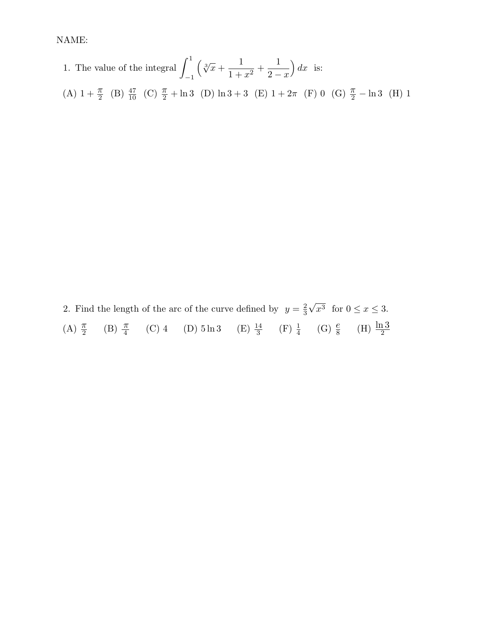1. The value of the integral 
$$
\int_{-1}^{1} \left( \sqrt[3]{x} + \frac{1}{1+x^2} + \frac{1}{2-x} \right) dx
$$
 is:  
\n(A)  $1 + \frac{\pi}{2}$  (B)  $\frac{47}{10}$  (C)  $\frac{\pi}{2} + \ln 3$  (D)  $\ln 3 + 3$  (E)  $1 + 2\pi$  (F) 0 (G)  $\frac{\pi}{2} - \ln 3$  (H) 1

2. Find the length of the arc of the curve defined by  $y = \frac{2}{3}$ 3 √  $x^3$  for  $0 \le x \le 3$ . (A)  $\frac{\pi}{2}$  (B)  $\frac{\pi}{4}$  (C) 4 (D)  $5 \ln 3$  (E)  $\frac{14}{3}$  (F)  $\frac{1}{4}$  (G)  $\frac{e}{8}$  (H)  $\frac{\ln 3}{2}$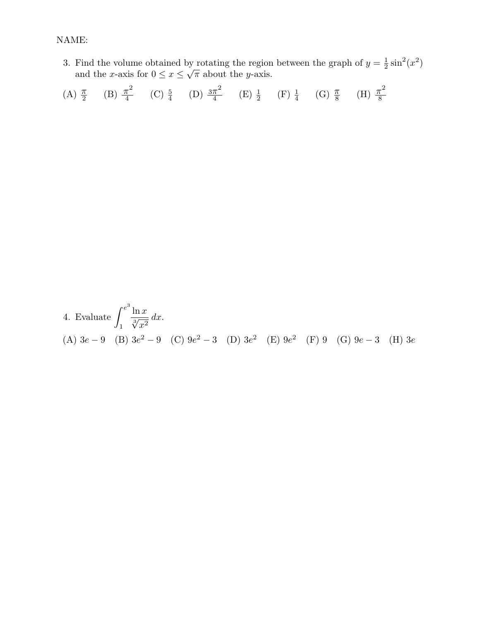3. Find the volume obtained by rotating the region between the graph of  $y=\frac{1}{2}$  $\frac{1}{2}\sin^2(x^2)$ and the x-axis for  $0 \leq x \leq$ √  $\overline{\pi}$  about the *y*-axis.

(A) 
$$
\frac{\pi}{2}
$$
 (B)  $\frac{\pi^2}{4}$  (C)  $\frac{5}{4}$  (D)  $\frac{3\pi^2}{4}$  (E)  $\frac{1}{2}$  (F)  $\frac{1}{4}$  (G)  $\frac{\pi}{8}$  (H)  $\frac{\pi^2}{8}$ 

4. Evaluate 
$$
\int_{1}^{e^{3}} \frac{\ln x}{\sqrt[3]{x^{2}}} dx
$$
.  
\n(A)  $3e - 9$  (B)  $3e^{2} - 9$  (C)  $9e^{2} - 3$  (D)  $3e^{2}$  (E)  $9e^{2}$  (F)  $9$  (G)  $9e - 3$  (H)  $3e$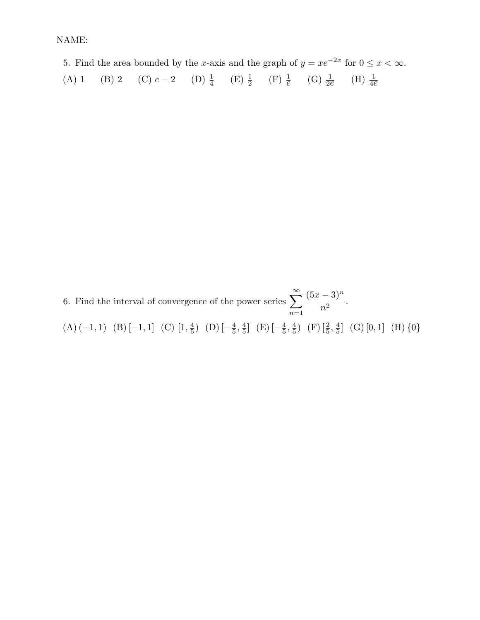5. Find the area bounded by the x-axis and the graph of  $y = xe^{-2x}$  for  $0 \le x < \infty$ . (A) 1 (B) 2 (C)  $e-2$  (D)  $\frac{1}{4}$  (E)  $\frac{1}{2}$  (F)  $\frac{1}{e}$  (G)  $\frac{1}{2e}$  (H)  $\frac{1}{4e}$ 

6. Find the interval of convergence of the power series  $\sum_{n=0}^{\infty}$  $n=1$  $(5x-3)^n$  $\frac{9}{n^2}$ .  $(A) (-1, 1) (B) [-1, 1] (C) [1, \frac{4}{5}]$  $\frac{4}{5}$ ) (D)  $\left[-\frac{4}{5}\right]$  $\frac{4}{5}, \frac{4}{5}$  $\frac{4}{5}$ ] (E)  $\left[-\frac{4}{5}\right]$  $\frac{4}{5}, \frac{4}{5}$  $\frac{4}{5}$ ) (F)  $\left[\frac{2}{5}, \frac{4}{5}\right]$  $\frac{4}{5}$  (G) [0, 1] (H) {0}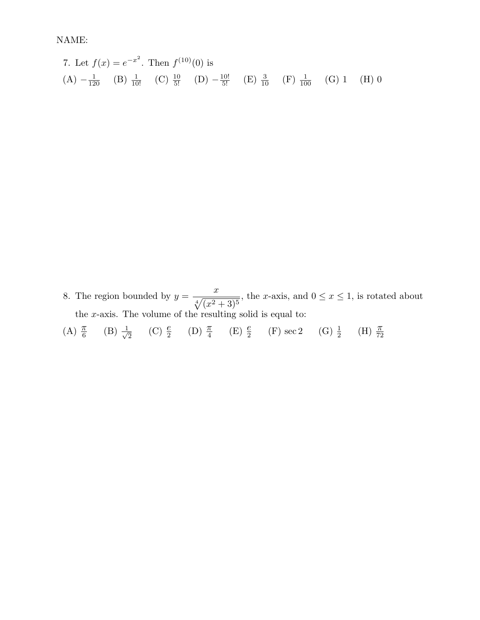7. Let 
$$
f(x) = e^{-x^2}
$$
. Then  $f^{(10)}(0)$  is  
\n(A)  $-\frac{1}{120}$  (B)  $\frac{1}{10!}$  (C)  $\frac{10}{5!}$  (D)  $-\frac{10!}{5!}$  (E)  $\frac{3}{10}$  (F)  $\frac{1}{100}$  (G) 1 (H) 0

8. The region bounded by  $y =$  $\overline{x}$  $\sqrt[4]{(x^2+3)^5}$ , the x-axis, and  $0 \le x \le 1$ , is rotated about the x-axis. The volume of the resulting solid is equal to:

(A)  $\frac{\pi}{6}$  (B)  $\frac{1}{\sqrt{3}}$  $\frac{1}{2}$  (C)  $\frac{e}{2}$  (D)  $\frac{\pi}{4}$  (E)  $\frac{e}{2}$  (F) sec 2 (G)  $\frac{1}{2}$  (H)  $\frac{\pi}{72}$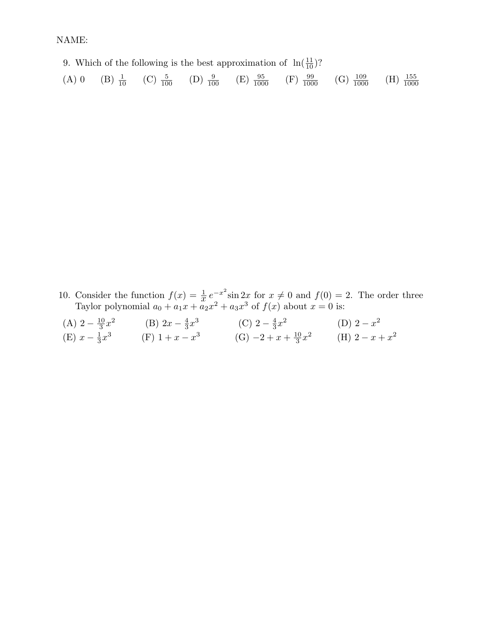9. Which of the following is the best approximation of  $\ln(\frac{11}{10})$ ?

(A) 0 (B)  $\frac{1}{10}$  (C)  $\frac{5}{100}$  (D)  $\frac{9}{100}$  (E)  $\frac{95}{1000}$  (F)  $\frac{99}{1000}$  (G)  $\frac{109}{1000}$  $\frac{109}{1000}$  (H)  $\frac{155}{1000}$ 

10. Consider the function  $f(x) = \frac{1}{x} e^{-x^2} \sin 2x$  for  $x \neq 0$  and  $f(0) = 2$ . The order three Taylor polynomial  $a_0 + a_1x + a_2x^2 + a_3x^3$  of  $f(x)$  about  $x = 0$  is:

| (A) $2 - \frac{10}{3}x^2$ | (B) $2x - \frac{4}{3}x^3$ | (C) $2-\frac{4}{3}x^2$         | (D) $2 - x^2$     |
|---------------------------|---------------------------|--------------------------------|-------------------|
| (E) $x - \frac{1}{3}x^3$  | $(F)$ 1 + $x - x^3$       | $(G) -2 + x + \frac{10}{3}x^2$ | (H) $2 - x + x^2$ |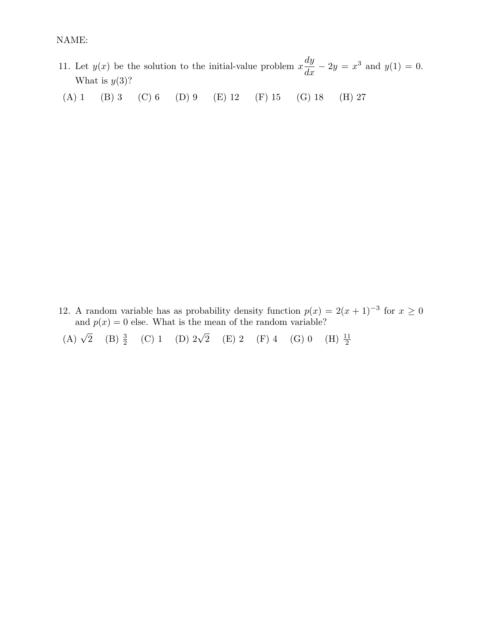- 11. Let  $y(x)$  be the solution to the initial-value problem x  $\frac{dy}{dx} - 2y = x^3$  and  $y(1) = 0$ . What is  $y(3)$ ?
- (A) 1 (B) 3 (C) 6 (D) 9 (E) 12 (F) 15 (G) 18 (H) 27

12. A random variable has as probability density function  $p(x) = 2(x+1)^{-3}$  for  $x \ge 0$ and  $p(x) = 0$  else. What is the mean of the random variable?

(A)  $\sqrt{2}$  (B)  $\frac{3}{2}$  (C) 1 (D)  $2\sqrt{2}$  (E) 2 (F) 4 (G) 0 (H)  $\frac{11}{2}$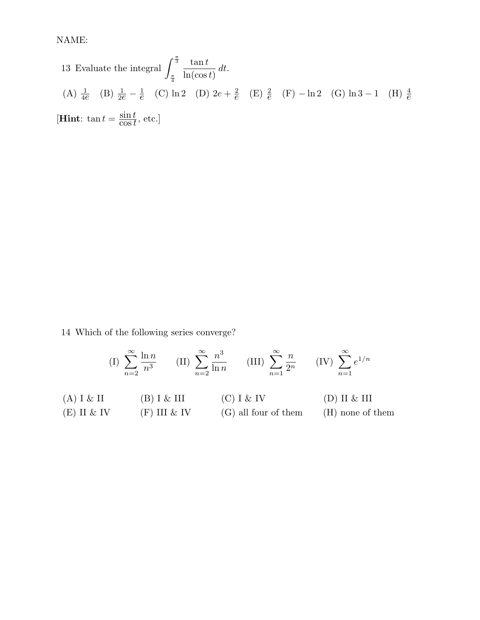13 Evaluate the integral 
$$
\int_{\frac{\pi}{4}}^{\frac{\pi}{3}} \frac{\tan t}{\ln(\cos t)} dt
$$
.  
\n(A)  $\frac{1}{4e}$  (B)  $\frac{1}{2e} - \frac{1}{e}$  (C)  $\ln 2$  (D)  $2e + \frac{2}{e}$  (E)  $\frac{2}{e}$  (F)  $-\ln 2$  (G)  $\ln 3 - 1$  (H)  $\frac{4}{e}$   
\n[**Hint**:  $\tan t = \frac{\sin t}{\cos t}$ , etc.]

14 Which of the following series converge?

$$
(I) \sum_{n=2}^{\infty} \frac{\ln n}{n^3} \qquad (II) \sum_{n=2}^{\infty} \frac{n^3}{\ln n} \qquad (III) \sum_{n=1}^{\infty} \frac{n}{2^n} \qquad (IV) \sum_{n=1}^{\infty} e^{1/n}
$$
  
(A) I & II (B) I & III (C) I & IV (D) II & III  
(E) II & IV (F) III & IV (G) all four of them (H) none of them